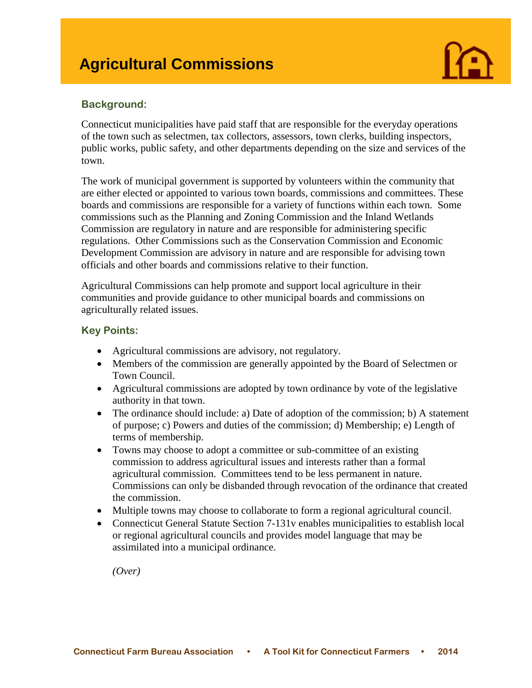

# **Background:**

Connecticut municipalities have paid staff that are responsible for the everyday operations of the town such as selectmen, tax collectors, assessors, town clerks, building inspectors, public works, public safety, and other departments depending on the size and services of the town.

The work of municipal government is supported by volunteers within the community that are either elected or appointed to various town boards, commissions and committees. These boards and commissions are responsible for a variety of functions within each town. Some commissions such as the Planning and Zoning Commission and the Inland Wetlands Commission are regulatory in nature and are responsible for administering specific regulations. Other Commissions such as the Conservation Commission and Economic Development Commission are advisory in nature and are responsible for advising town officials and other boards and commissions relative to their function.

Agricultural Commissions can help promote and support local agriculture in their communities and provide guidance to other municipal boards and commissions on agriculturally related issues.

### **Key Points:**

- Agricultural commissions are advisory, not regulatory.
- Members of the commission are generally appointed by the Board of Selectmen or Town Council.
- Agricultural commissions are adopted by town ordinance by vote of the legislative authority in that town.
- The ordinance should include: a) Date of adoption of the commission; b) A statement of purpose; c) Powers and duties of the commission; d) Membership; e) Length of terms of membership.
- Towns may choose to adopt a committee or sub-committee of an existing commission to address agricultural issues and interests rather than a formal agricultural commission. Committees tend to be less permanent in nature. Commissions can only be disbanded through revocation of the ordinance that created the commission.
- Multiple towns may choose to collaborate to form a regional agricultural council.
- Connecticut General Statute Section 7-131v enables municipalities to establish local or regional agricultural councils and provides model language that may be assimilated into a municipal ordinance.

*(Over)*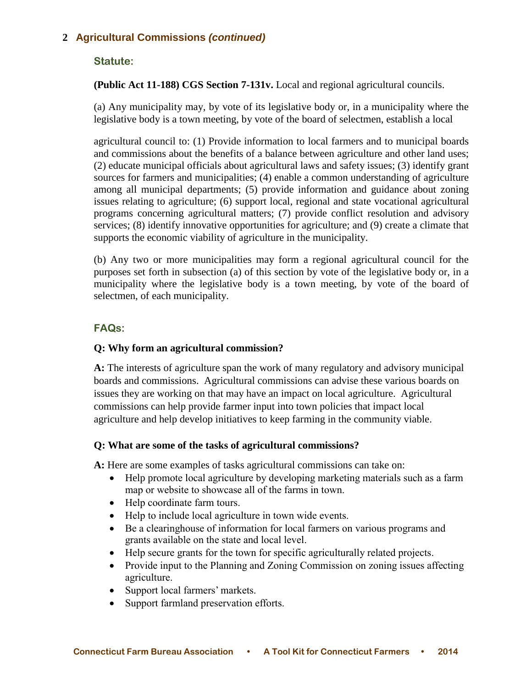# **2 Agricultural Commissions** *(continued)*

## **Statute:**

## **(Public Act 11-188) CGS Section 7-131v.** Local and regional agricultural councils.

(a) Any municipality may, by vote of its legislative body or, in a municipality where the legislative body is a town meeting, by vote of the board of selectmen, establish a local

agricultural council to: (1) Provide information to local farmers and to municipal boards and commissions about the benefits of a balance between agriculture and other land uses; (2) educate municipal officials about agricultural laws and safety issues; (3) identify grant sources for farmers and municipalities; (4) enable a common understanding of agriculture among all municipal departments; (5) provide information and guidance about zoning issues relating to agriculture; (6) support local, regional and state vocational agricultural programs concerning agricultural matters; (7) provide conflict resolution and advisory services; (8) identify innovative opportunities for agriculture; and (9) create a climate that supports the economic viability of agriculture in the municipality.

(b) Any two or more municipalities may form a regional agricultural council for the purposes set forth in subsection (a) of this section by vote of the legislative body or, in a municipality where the legislative body is a town meeting, by vote of the board of selectmen, of each municipality.

## **FAQs:**

### **Q: Why form an agricultural commission?**

**A:** The interests of agriculture span the work of many regulatory and advisory municipal boards and commissions. Agricultural commissions can advise these various boards on issues they are working on that may have an impact on local agriculture. Agricultural commissions can help provide farmer input into town policies that impact local agriculture and help develop initiatives to keep farming in the community viable.

### **Q: What are some of the tasks of agricultural commissions?**

**A:** Here are some examples of tasks agricultural commissions can take on:

- Help promote local agriculture by developing marketing materials such as a farm map or website to showcase all of the farms in town.
- Help coordinate farm tours.
- Help to include local agriculture in town wide events.
- Be a clearinghouse of information for local farmers on various programs and grants available on the state and local level.
- Help secure grants for the town for specific agriculturally related projects.
- Provide input to the Planning and Zoning Commission on zoning issues affecting agriculture.
- Support local farmers' markets.
- Support farmland preservation efforts.